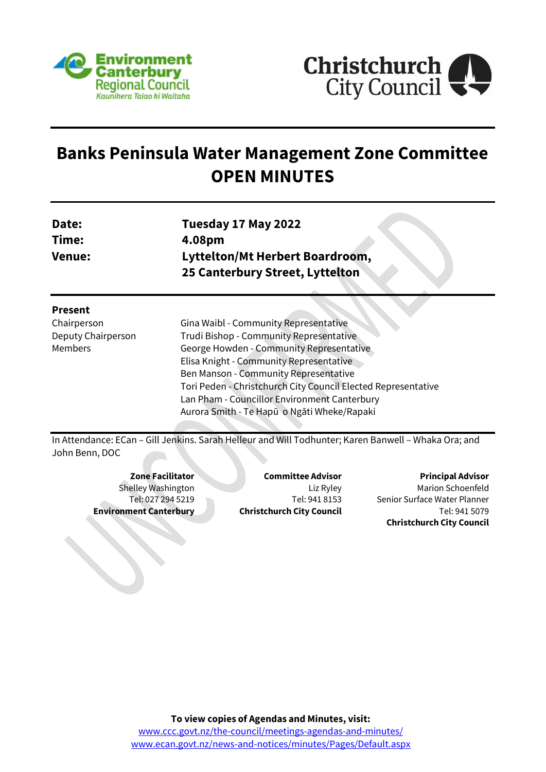



# **Banks Peninsula Water Management Zone Committee OPEN MINUTES**

| Date:  | Tuesday 17 May 2022                    |
|--------|----------------------------------------|
| Time:  | 4.08pm                                 |
| Venue: | <b>Lyttelton/Mt Herbert Boardroom,</b> |
|        | 25 Canterbury Street, Lyttelton        |
|        |                                        |

| Ω<br>:sent<br>، س |  |
|-------------------|--|
|-------------------|--|

Chairperson Deputy Chairperson Members

Gina Waibl - Community Representative Trudi Bishop - Community Representative George Howden - Community Representative Elisa Knight - Community Representative Ben Manson - Community Representative Tori Peden - Christchurch City Council Elected Representative Lan Pham - Councillor Environment Canterbury Aurora Smith - Te Hapū o Ngāti Wheke/Rapaki

In Attendance: ECan – Gill Jenkins. Sarah Helleur and Will Todhunter; Karen Banwell – Whaka Ora; and John Benn, DOC

**Zone Facilitator** Shelley Washington Tel: 027 294 5219 **Environment Canterbury**

**Committee Advisor** Liz Ryley Tel: 941 8153 **Christchurch City Council**

**Principal Advisor** Marion Schoenfeld Senior Surface Water Planner Tel: 941 5079 **Christchurch City Council**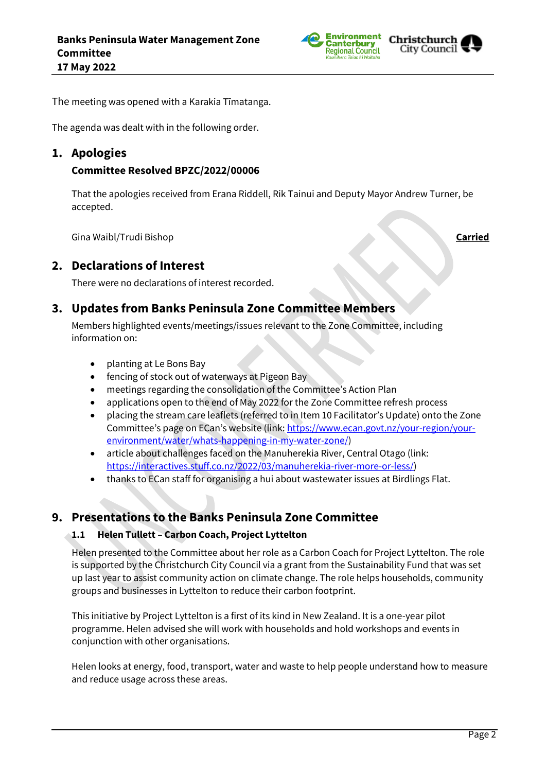



The meeting was opened with a Karakia Tīmatanga.

The agenda was dealt with in the following order.

## **1. Apologies**

## **Committee Resolved BPZC/2022/00006**

That the apologies received from Erana Riddell, Rik Tainui and Deputy Mayor Andrew Turner, be accepted.

Gina Waibl/Trudi Bishop **Carried**

## **2. Declarations of Interest**

There were no declarations of interest recorded.

## **3. Updates from Banks Peninsula Zone Committee Members**

Members highlighted events/meetings/issues relevant to the Zone Committee, including information on:

- planting at Le Bons Bay
- fencing of stock out of waterways at Pigeon Bay
- meetings regarding the consolidation of the Committee's Action Plan
- applications open to the end of May 2022 for the Zone Committee refresh process
- placing the stream care leaflets (referred to in Item 10 Facilitator's Update) onto the Zone Committee's page on ECan's website (link: [https://www.ecan.govt.nz/your-region/your](https://www.ecan.govt.nz/your-region/your-environment/water/whats-happening-in-my-water-zone/)[environment/water/whats-happening-in-my-water-zone/\)](https://www.ecan.govt.nz/your-region/your-environment/water/whats-happening-in-my-water-zone/)
- article about challenges faced on the Manuherekia River, Central Otago (link: [https://interactives.stuff.co.nz/2022/03/manuherekia-river-more-or-less/\)](https://interactives.stuff.co.nz/2022/03/manuherekia-river-more-or-less/)
- thanks to ECan staff for organising a hui about wastewater issues at Birdlings Flat.

## **9. Presentations to the Banks Peninsula Zone Committee**

### **1.1 Helen Tullett – Carbon Coach, Project Lyttelton**

Helen presented to the Committee about her role as a Carbon Coach for Project Lyttelton. The role is supported by the Christchurch City Council via a grant from the Sustainability Fund that was set up last year to assist community action on climate change. The role helps households, community groups and businesses in Lyttelton to reduce their carbon footprint.

This initiative by Project Lyttelton is a first of its kind in New Zealand. It is a one-year pilot programme. Helen advised she will work with households and hold workshops and events in conjunction with other organisations.

Helen looks at energy, food, transport, water and waste to help people understand how to measure and reduce usage across these areas.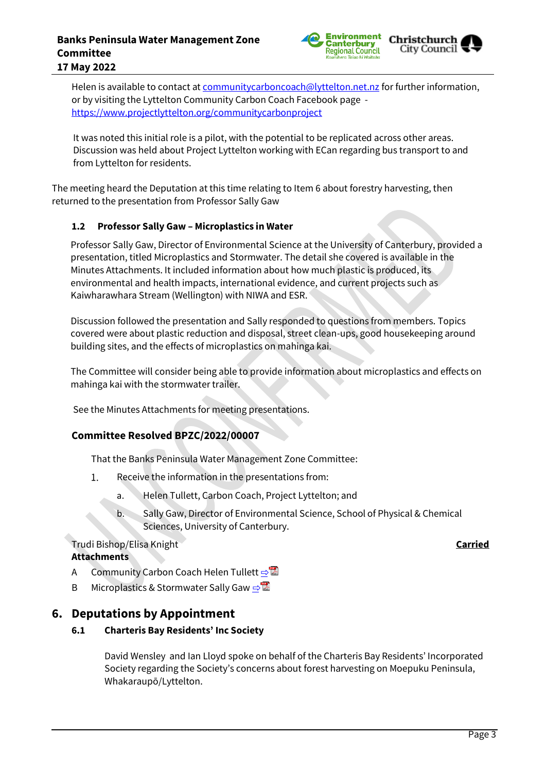### **Banks Peninsula Water Management Zone Committee 17 May 2022**



Helen is available to contact at [communitycarboncoach@lyttelton.net.nz](mailto:communitycarboncoach@lyttelton.net.nz) for further information, or by visiting the Lyttelton Community Carbon Coach Facebook page <https://www.projectlyttelton.org/communitycarbonproject>

It was noted this initial role is a pilot, with the potential to be replicated across other areas. Discussion was held about Project Lyttelton working with ECan regarding bus transport to and from Lyttelton for residents.

The meeting heard the Deputation at this time relating to Item 6 about forestry harvesting, then returned to the presentation from Professor Sally Gaw

### **1.2 Professor Sally Gaw – Microplastics in Water**

Professor Sally Gaw, Director of Environmental Science at the University of Canterbury, provided a presentation, titled Microplastics and Stormwater. The detail she covered is available in the Minutes Attachments. It included information about how much plastic is produced, its environmental and health impacts, international evidence, and current projects such as Kaiwharawhara Stream (Wellington) with NIWA and ESR.

Discussion followed the presentation and Sally responded to questions from members. Topics covered were about plastic reduction and disposal, street clean-ups, good housekeeping around building sites, and the effects of microplastics on mahinga kai.

The Committee will consider being able to provide information about microplastics and effects on mahinga kai with the stormwater trailer.

See the Minutes Attachments for meeting presentations.

## **Committee Resolved BPZC/2022/00007**

That the Banks Peninsula Water Management Zone Committee:

- $1.$ Receive the information in the presentations from:
	- a. Helen Tullett, Carbon Coach, Project Lyttelton; and
	- b. Sally Gaw, Director of Environmental Science, School of Physical & Chemical Sciences, University of Canterbury.

### Trudi Bishop/Elisa Knight **Carried Attachments**

- A Community Carbon Coach Helen Tullett ⇒
- B Microplastics & Stormwater Sally Gaw  $\Rightarrow$

## **6. Deputations by Appointment**

**6.1 Charteris Bay Residents' Inc Society**

David Wensley and Ian Lloyd spoke on behalf of the Charteris Bay Residents' Incorporated Society regarding the Society's concerns about forest harvesting on Moepuku Peninsula, Whakaraupō/Lyttelton.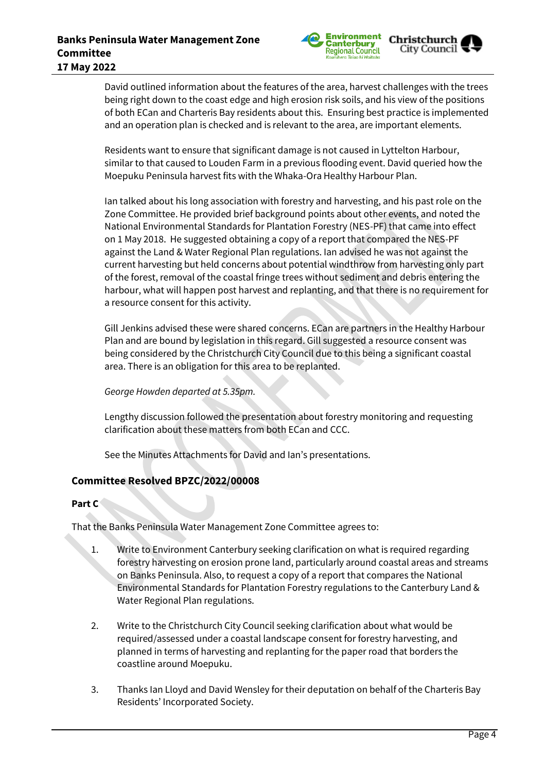

David outlined information about the features of the area, harvest challenges with the trees being right down to the coast edge and high erosion risk soils, and his view of the positions of both ECan and Charteris Bay residents about this. Ensuring best practice is implemented and an operation plan is checked and is relevant to the area, are important elements.

Residents want to ensure that significant damage is not caused in Lyttelton Harbour, similar to that caused to Louden Farm in a previous flooding event. David queried how the Moepuku Peninsula harvest fits with the Whaka-Ora Healthy Harbour Plan.

Ian talked about his long association with forestry and harvesting, and his past role on the Zone Committee. He provided brief background points about other events, and noted the National Environmental Standards for Plantation Forestry (NES-PF) that came into effect on 1 May 2018. He suggested obtaining a copy of a report that compared the NES-PF against the Land & Water Regional Plan regulations. Ian advised he was not against the current harvesting but held concerns about potential windthrow from harvesting only part of the forest, removal of the coastal fringe trees without sediment and debris entering the harbour, what will happen post harvest and replanting, and that there is no requirement for a resource consent for this activity.

Gill Jenkins advised these were shared concerns. ECan are partners in the Healthy Harbour Plan and are bound by legislation in this regard. Gill suggested a resource consent was being considered by the Christchurch City Council due to this being a significant coastal area. There is an obligation for this area to be replanted.

### *George Howden departed at 5.35pm.*

Lengthy discussion followed the presentation about forestry monitoring and requesting clarification about these matters from both ECan and CCC.

See the Minutes Attachments for David and Ian's presentations.

## **Committee Resolved BPZC/2022/00008**

### **Part C**

That the Banks Peninsula Water Management Zone Committee agrees to:

- 1. Write to Environment Canterbury seeking clarification on what is required regarding forestry harvesting on erosion prone land, particularly around coastal areas and streams on Banks Peninsula. Also, to request a copy of a report that compares the National Environmental Standards for Plantation Forestry regulations to the Canterbury Land & Water Regional Plan regulations.
- 2. Write to the Christchurch City Council seeking clarification about what would be required/assessed under a coastal landscape consent for forestry harvesting, and planned in terms of harvesting and replanting for the paper road that borders the coastline around Moepuku.
- 3. Thanks Ian Lloyd and David Wensley for their deputation on behalf of the Charteris Bay Residents' Incorporated Society.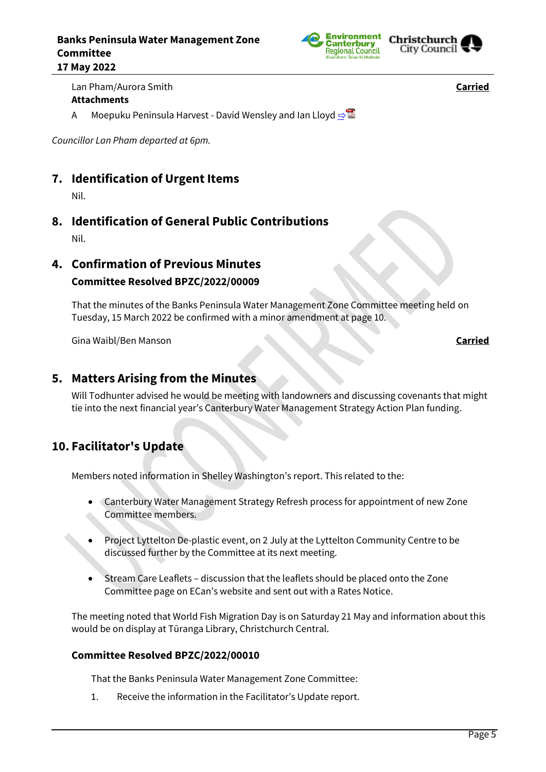



Lan Pham/Aurora Smith **Carried Attachments**

A Moepuku Peninsula Harvest - David Wensley and Ian Lloyd **[⇨](../../../RedirectToInvalidFileName.aspx?FileName=BPZC_20220517_MAT_7567.PDF#PAGE=28)</u>** 

*Councillor Lan Pham departed at 6pm.*

## **7. Identification of Urgent Items**

Nil.

**8. Identification of General Public Contributions**

Nil.

**4. Confirmation of Previous Minutes**

## **Committee Resolved BPZC/2022/00009**

That the minutes of the Banks Peninsula Water Management Zone Committee meeting held on Tuesday, 15 March 2022 be confirmed with a minor amendment at page 10.

Gina Waibl/Ben Manson **Carried**

## **5. Matters Arising from the Minutes**

Will Todhunter advised he would be meeting with landowners and discussing covenants that might tie into the next financial year's Canterbury Water Management Strategy Action Plan funding.

## **10. Facilitator's Update**

Members noted information in Shelley Washington's report. This related to the:

- Canterbury Water Management Strategy Refresh process for appointment of new Zone Committee members.
- Project Lyttelton De-plastic event, on 2 July at the Lyttelton Community Centre to be discussed further by the Committee at its next meeting.
- Stream Care Leaflets discussion that the leaflets should be placed onto the Zone Committee page on ECan's website and sent out with a Rates Notice.

The meeting noted that World Fish Migration Day is on Saturday 21 May and information about this would be on display at Tūranga Library, Christchurch Central.

## **Committee Resolved BPZC/2022/00010**

That the Banks Peninsula Water Management Zone Committee:

1. Receive the information in the Facilitator's Update report.